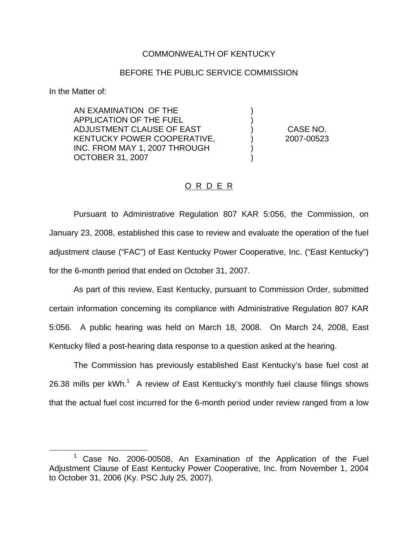## COMMONWEALTH OF KENTUCKY

## BEFORE THE PUBLIC SERVICE COMMISSION

) )

) )

In the Matter of:

AN EXAMINATION OF THE APPLICATION OF THE FUEL ADJUSTMENT CLAUSE OF EAST KENTUCKY POWER COOPERATIVE, INC. FROM MAY 1, 2007 THROUGH OCTOBER 31, 2007

) CASE NO. ) 2007-00523

## O R D E R

Pursuant to Administrative Regulation 807 KAR 5:056, the Commission, on January 23, 2008, established this case to review and evaluate the operation of the fuel adjustment clause ("FAC") of East Kentucky Power Cooperative, Inc. ("East Kentucky") for the 6-month period that ended on October 31, 2007.

As part of this review, East Kentucky, pursuant to Commission Order, submitted certain information concerning its compliance with Administrative Regulation 807 KAR 5:056. A public hearing was held on March 18, 2008. On March 24, 2008, East Kentucky filed a post-hearing data response to a question asked at the hearing.

The Commission has previously established East Kentucky's base fuel cost at 26.38 mills per  $kWh$ <sup>1</sup> A review of East Kentucky's monthly fuel clause filings shows that the actual fuel cost incurred for the 6-month period under review ranged from a low

<sup>1</sup> Case No. 2006-00508, An Examination of the Application of the Fuel Adjustment Clause of East Kentucky Power Cooperative, Inc. from November 1, 2004 to October 31, 2006 (Ky. PSC July 25, 2007).